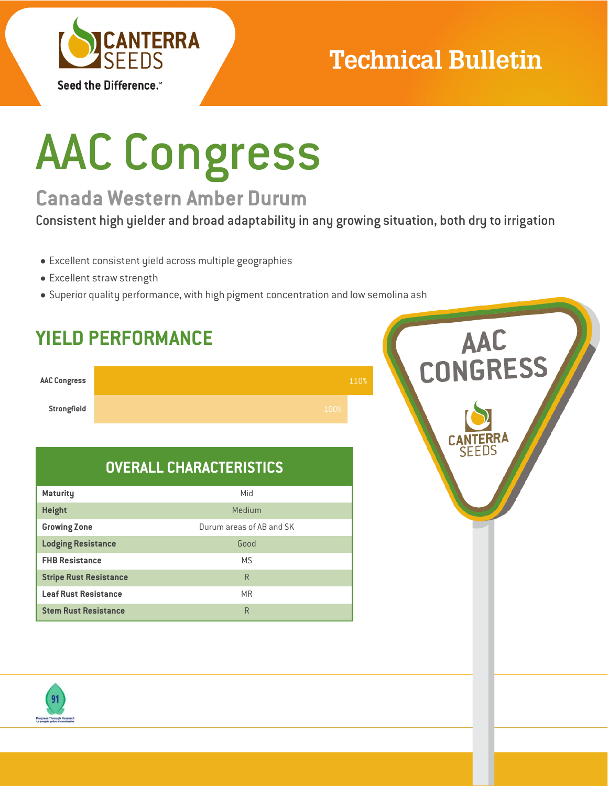

### **Technical Bulletin**

# AAC Congress

### **Canada Western Amber Durum**

Consistent high yielder and broad adaptability in any growing situation, both dry to irrigation

- Excellent consistent yield across multiple geographies
- Excellent straw strength
- Superior quality performance, with high pigment concentration and low semolina ash



### **OVERALL CHARACTERISTICS**

| <b>Maturity</b>               | Mid                      |
|-------------------------------|--------------------------|
| <b>Height</b>                 | Medium                   |
| <b>Growing Zone</b>           | Durum areas of AB and SK |
| <b>Lodging Resistance</b>     | Good                     |
| <b>FHB Resistance</b>         | M.S                      |
| <b>Stripe Rust Resistance</b> | R                        |
| <b>Leaf Rust Resistance</b>   | <b>MR</b>                |
| <b>Stem Rust Resistance</b>   | R                        |